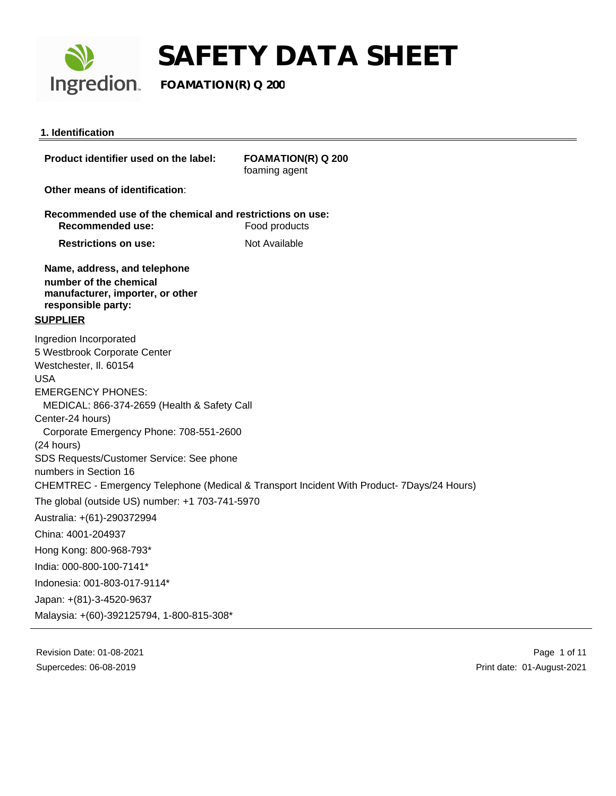

## **1. Identification**

| Product identifier used on the label:                                                                                               | <b>FOAMATION(R) Q 200</b><br>foaming agent                                                 |
|-------------------------------------------------------------------------------------------------------------------------------------|--------------------------------------------------------------------------------------------|
| Other means of identification:                                                                                                      |                                                                                            |
| Recommended use of the chemical and restrictions on use:<br><b>Recommended use:</b>                                                 | Food products                                                                              |
| <b>Restrictions on use:</b>                                                                                                         | Not Available                                                                              |
| Name, address, and telephone<br>number of the chemical<br>manufacturer, importer, or other<br>responsible party:<br><b>SUPPLIER</b> |                                                                                            |
| Ingredion Incorporated<br>5 Westbrook Corporate Center<br>Westchester, II. 60154<br><b>USA</b>                                      |                                                                                            |
| <b>EMERGENCY PHONES:</b><br>MEDICAL: 866-374-2659 (Health & Safety Call<br>Center-24 hours)                                         |                                                                                            |
| Corporate Emergency Phone: 708-551-2600<br>(24 hours)                                                                               |                                                                                            |
| SDS Requests/Customer Service: See phone<br>numbers in Section 16                                                                   | CHEMTREC - Emergency Telephone (Medical & Transport Incident With Product- 7Days/24 Hours) |
| The global (outside US) number: +1 703-741-5970                                                                                     |                                                                                            |
| Australia: +(61)-290372994                                                                                                          |                                                                                            |
| China: 4001-204937                                                                                                                  |                                                                                            |
| Hong Kong: 800-968-793*                                                                                                             |                                                                                            |
| India: 000-800-100-7141*                                                                                                            |                                                                                            |
| Indonesia: 001-803-017-9114*                                                                                                        |                                                                                            |
| Japan: +(81)-3-4520-9637                                                                                                            |                                                                                            |
| Malaysia: +(60)-392125794, 1-800-815-308*                                                                                           |                                                                                            |

Revision Date: 01-08-2021 Supercedes: 06-08-2019

 Page 1 of 11 Print date: 01-August-2021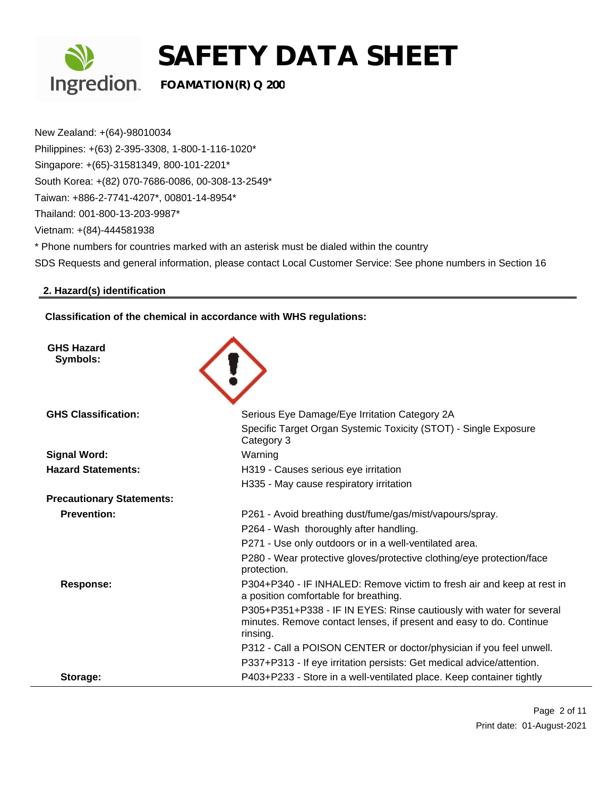

New Zealand: +(64)-98010034 Philippines: +(63) 2-395-3308, 1-800-1-116-1020\* Singapore: +(65)-31581349, 800-101-2201\* South Korea: +(82) 070-7686-0086, 00-308-13-2549\* Taiwan: +886-2-7741-4207\*, 00801-14-8954\* Thailand: 001-800-13-203-9987\* Vietnam: +(84)-444581938 \* Phone numbers for countries marked with an asterisk must be dialed within the country SDS Requests and general information, please contact Local Customer Service: See phone numbers in Section 16

## **2. Hazard(s) identification**

**Classification of the chemical in accordance with WHS regulations:**

| <b>GHS Hazard</b><br>Symbols:    |                                                                                                                                                         |
|----------------------------------|---------------------------------------------------------------------------------------------------------------------------------------------------------|
| <b>GHS Classification:</b>       | Serious Eye Damage/Eye Irritation Category 2A                                                                                                           |
|                                  | Specific Target Organ Systemic Toxicity (STOT) - Single Exposure<br>Category 3                                                                          |
| <b>Signal Word:</b>              | Warning                                                                                                                                                 |
| <b>Hazard Statements:</b>        | H319 - Causes serious eye irritation                                                                                                                    |
|                                  | H335 - May cause respiratory irritation                                                                                                                 |
| <b>Precautionary Statements:</b> |                                                                                                                                                         |
| <b>Prevention:</b>               | P261 - Avoid breathing dust/fume/gas/mist/vapours/spray.                                                                                                |
|                                  | P264 - Wash thoroughly after handling.                                                                                                                  |
|                                  | P271 - Use only outdoors or in a well-ventilated area.                                                                                                  |
|                                  | P280 - Wear protective gloves/protective clothing/eye protection/face<br>protection.                                                                    |
| Response:                        | P304+P340 - IF INHALED: Remove victim to fresh air and keep at rest in<br>a position comfortable for breathing.                                         |
|                                  | P305+P351+P338 - IF IN EYES: Rinse cautiously with water for several<br>minutes. Remove contact lenses, if present and easy to do. Continue<br>rinsing. |
|                                  | P312 - Call a POISON CENTER or doctor/physician if you feel unwell.                                                                                     |
|                                  | P337+P313 - If eye irritation persists: Get medical advice/attention.                                                                                   |
| Storage:                         | P403+P233 - Store in a well-ventilated place. Keep container tightly                                                                                    |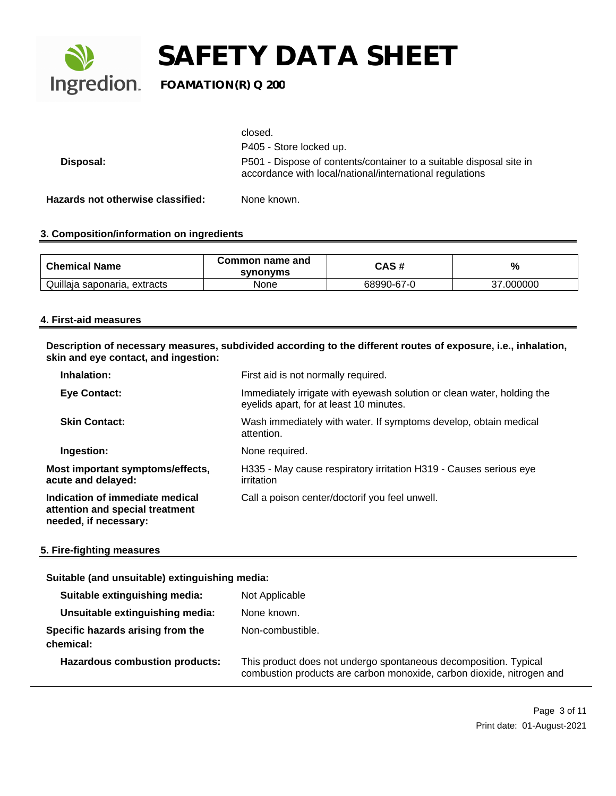

|                                   | closed.                                                                                                                         |
|-----------------------------------|---------------------------------------------------------------------------------------------------------------------------------|
|                                   | P405 - Store locked up.                                                                                                         |
| Disposal:                         | P501 - Dispose of contents/container to a suitable disposal site in<br>accordance with local/national/international regulations |
| Hazards not otherwise classified: | None known.                                                                                                                     |

## **3. Composition/information on ingredients**

| <b>Chemical Name</b>         | Common name and<br>synonyms | CAS #      | %        |
|------------------------------|-----------------------------|------------|----------|
| Quillaja saponaria, extracts | None                        | 68990-67-0 | 000000.' |

### **4. First-aid measures**

**Description of necessary measures, subdivided according to the different routes of exposure, i.e., inhalation, skin and eye contact, and ingestion:**

| Inhalation:                                                                                 | First aid is not normally required.                                                                               |
|---------------------------------------------------------------------------------------------|-------------------------------------------------------------------------------------------------------------------|
| <b>Eye Contact:</b>                                                                         | Immediately irrigate with eyewash solution or clean water, holding the<br>eyelids apart, for at least 10 minutes. |
| <b>Skin Contact:</b>                                                                        | Wash immediately with water. If symptoms develop, obtain medical<br>attention.                                    |
| Ingestion:                                                                                  | None required.                                                                                                    |
| Most important symptoms/effects,<br>acute and delayed:                                      | H335 - May cause respiratory irritation H319 - Causes serious eye<br>irritation                                   |
| Indication of immediate medical<br>attention and special treatment<br>needed, if necessary: | Call a poison center/doctorif you feel unwell.                                                                    |

## **5. Fire-fighting measures**

## **Suitable (and unsuitable) extinguishing media:**

| Suitable extinguishing media:                  | Not Applicable                                                                                                                            |
|------------------------------------------------|-------------------------------------------------------------------------------------------------------------------------------------------|
| Unsuitable extinguishing media:                | None known.                                                                                                                               |
| Specific hazards arising from the<br>chemical: | Non-combustible.                                                                                                                          |
| <b>Hazardous combustion products:</b>          | This product does not undergo spontaneous decomposition. Typical<br>combustion products are carbon monoxide, carbon dioxide, nitrogen and |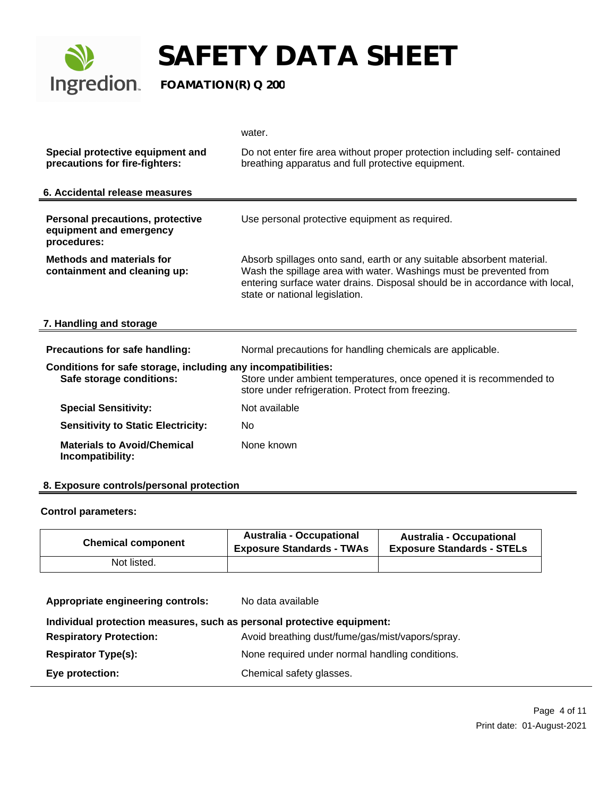

|                                                                                   | water.                                                                                                                                                                                                                                                       |  |
|-----------------------------------------------------------------------------------|--------------------------------------------------------------------------------------------------------------------------------------------------------------------------------------------------------------------------------------------------------------|--|
| Special protective equipment and<br>precautions for fire-fighters:                | Do not enter fire area without proper protection including self-contained<br>breathing apparatus and full protective equipment.                                                                                                                              |  |
| 6. Accidental release measures                                                    |                                                                                                                                                                                                                                                              |  |
| <b>Personal precautions, protective</b><br>equipment and emergency<br>procedures: | Use personal protective equipment as required.                                                                                                                                                                                                               |  |
| <b>Methods and materials for</b><br>containment and cleaning up:                  | Absorb spillages onto sand, earth or any suitable absorbent material.<br>Wash the spillage area with water. Washings must be prevented from<br>entering surface water drains. Disposal should be in accordance with local,<br>state or national legislation. |  |
| 7. Handling and storage                                                           |                                                                                                                                                                                                                                                              |  |
| Precautions for safe handling:                                                    | Normal precautions for handling chemicals are applicable.                                                                                                                                                                                                    |  |
| Conditions for safe storage, including any incompatibilities:                     |                                                                                                                                                                                                                                                              |  |
| Safe storage conditions:                                                          | Store under ambient temperatures, once opened it is recommended to<br>store under refrigeration. Protect from freezing.                                                                                                                                      |  |
| <b>Special Sensitivity:</b>                                                       | Not available                                                                                                                                                                                                                                                |  |
| <b>Sensitivity to Static Electricity:</b>                                         | No                                                                                                                                                                                                                                                           |  |
| <b>Materials to Avoid/Chemical</b><br>Incompatibility:                            | None known                                                                                                                                                                                                                                                   |  |

## **8. Exposure controls/personal protection**

### **Control parameters:**

| <b>Chemical component</b> | <b>Australia - Occupational</b><br><b>Exposure Standards - TWAs</b> | <b>Australia - Occupational</b><br><b>Exposure Standards - STELs</b> |
|---------------------------|---------------------------------------------------------------------|----------------------------------------------------------------------|
| Not listed.               |                                                                     |                                                                      |

| Appropriate engineering controls:                                      | No data available                                |  |
|------------------------------------------------------------------------|--------------------------------------------------|--|
| Individual protection measures, such as personal protective equipment: |                                                  |  |
| <b>Respiratory Protection:</b>                                         | Avoid breathing dust/fume/gas/mist/vapors/spray. |  |
| <b>Respirator Type(s):</b>                                             | None required under normal handling conditions.  |  |
| Eye protection:                                                        | Chemical safety glasses.                         |  |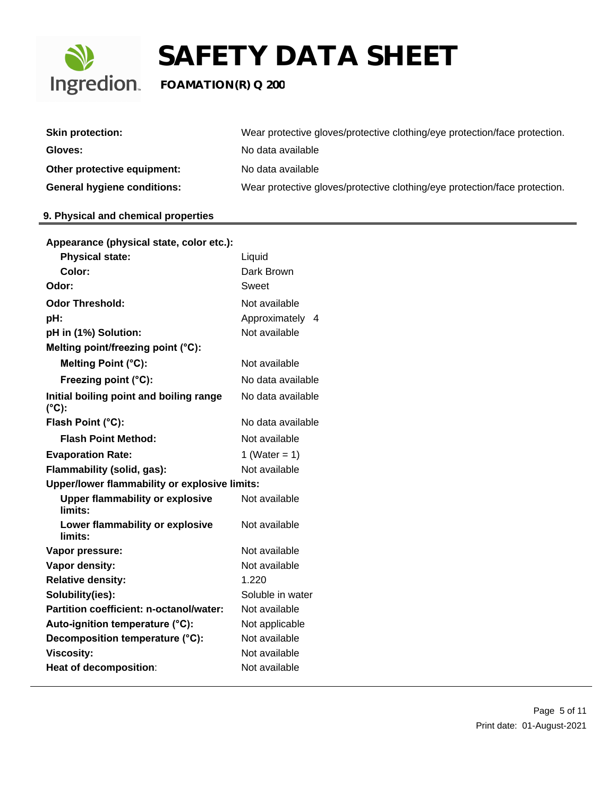

| <b>Skin protection:</b>            | Wear protective gloves/protective clothing/eye protection/face protection. |
|------------------------------------|----------------------------------------------------------------------------|
| Gloves:                            | No data available                                                          |
| Other protective equipment:        | No data available                                                          |
| <b>General hygiene conditions:</b> | Wear protective gloves/protective clothing/eye protection/face protection. |

## **9. Physical and chemical properties**

| Appearance (physical state, color etc.):                   |                    |
|------------------------------------------------------------|--------------------|
| <b>Physical state:</b>                                     | Liquid             |
| Color:                                                     | Dark Brown         |
| Odor:                                                      | Sweet              |
| <b>Odor Threshold:</b>                                     | Not available      |
| pH:                                                        | Approximately<br>4 |
| pH in (1%) Solution:                                       | Not available      |
| Melting point/freezing point (°C):                         |                    |
| Melting Point (°C):                                        | Not available      |
| Freezing point (°C):                                       | No data available  |
| Initial boiling point and boiling range<br>$(^{\circ}C)$ : | No data available  |
| Flash Point (°C):                                          | No data available  |
| <b>Flash Point Method:</b>                                 | Not available      |
| <b>Evaporation Rate:</b>                                   | 1 (Water = $1$ )   |
| Flammability (solid, gas):                                 | Not available      |
| Upper/lower flammability or explosive limits:              |                    |
| <b>Upper flammability or explosive</b><br>limits:          | Not available      |
| Lower flammability or explosive<br>limits:                 | Not available      |
| Vapor pressure:                                            | Not available      |
| Vapor density:                                             | Not available      |
| <b>Relative density:</b>                                   | 1.220              |
| Solubility(ies):                                           | Soluble in water   |
| Partition coefficient: n-octanol/water:                    | Not available      |
| Auto-ignition temperature (°C):                            | Not applicable     |
| Decomposition temperature (°C):                            | Not available      |
| <b>Viscosity:</b>                                          | Not available      |
| Heat of decomposition:                                     | Not available      |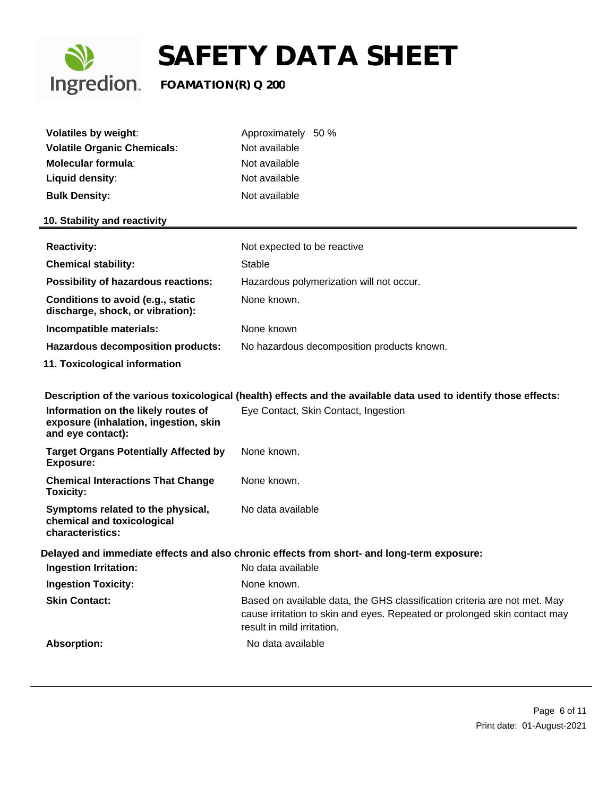

| <b>Volatiles by weight:</b><br><b>Volatile Organic Chemicals:</b><br><b>Molecular formula:</b><br>Liquid density:<br><b>Bulk Density:</b> | Approximately 50 %<br>Not available<br>Not available<br>Not available<br>Not available                                                                                               |  |
|-------------------------------------------------------------------------------------------------------------------------------------------|--------------------------------------------------------------------------------------------------------------------------------------------------------------------------------------|--|
| 10. Stability and reactivity                                                                                                              |                                                                                                                                                                                      |  |
| <b>Reactivity:</b>                                                                                                                        | Not expected to be reactive                                                                                                                                                          |  |
| <b>Chemical stability:</b>                                                                                                                | Stable                                                                                                                                                                               |  |
| <b>Possibility of hazardous reactions:</b>                                                                                                | Hazardous polymerization will not occur.                                                                                                                                             |  |
| Conditions to avoid (e.g., static<br>discharge, shock, or vibration):                                                                     | None known.                                                                                                                                                                          |  |
| Incompatible materials:                                                                                                                   | None known                                                                                                                                                                           |  |
| <b>Hazardous decomposition products:</b>                                                                                                  | No hazardous decomposition products known.                                                                                                                                           |  |
| 11. Toxicological information                                                                                                             |                                                                                                                                                                                      |  |
| Information on the likely routes of<br>exposure (inhalation, ingestion, skin<br>and eye contact):                                         | Description of the various toxicological (health) effects and the available data used to identify those effects:<br>Eye Contact, Skin Contact, Ingestion                             |  |
| <b>Target Organs Potentially Affected by</b><br><b>Exposure:</b>                                                                          | None known.                                                                                                                                                                          |  |
| <b>Chemical Interactions That Change</b><br><b>Toxicity:</b>                                                                              | None known.                                                                                                                                                                          |  |
| Symptoms related to the physical,<br>chemical and toxicological<br>characteristics:                                                       | No data available                                                                                                                                                                    |  |
| Delayed and immediate effects and also chronic effects from short- and long-term exposure:                                                |                                                                                                                                                                                      |  |
| <b>Ingestion Irritation:</b>                                                                                                              | No data available                                                                                                                                                                    |  |
| <b>Ingestion Toxicity:</b>                                                                                                                | None known.                                                                                                                                                                          |  |
| <b>Skin Contact:</b>                                                                                                                      | Based on available data, the GHS classification criteria are not met. May<br>cause irritation to skin and eyes. Repeated or prolonged skin contact may<br>result in mild irritation. |  |
| <b>Absorption:</b>                                                                                                                        | No data available                                                                                                                                                                    |  |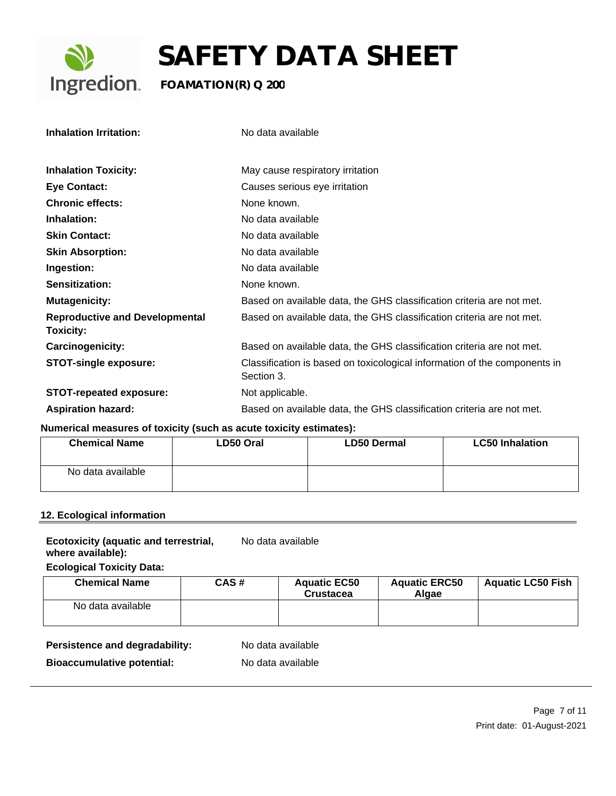

| <b>Inhalation Irritation:</b>                             | No data available                                                                       |
|-----------------------------------------------------------|-----------------------------------------------------------------------------------------|
|                                                           |                                                                                         |
| <b>Inhalation Toxicity:</b>                               | May cause respiratory irritation                                                        |
| <b>Eye Contact:</b>                                       | Causes serious eye irritation                                                           |
| <b>Chronic effects:</b>                                   | None known.                                                                             |
| Inhalation:                                               | No data available                                                                       |
| <b>Skin Contact:</b>                                      | No data available                                                                       |
| <b>Skin Absorption:</b>                                   | No data available                                                                       |
| Ingestion:                                                | No data available                                                                       |
| Sensitization:                                            | None known.                                                                             |
| <b>Mutagenicity:</b>                                      | Based on available data, the GHS classification criteria are not met.                   |
| <b>Reproductive and Developmental</b><br><b>Toxicity:</b> | Based on available data, the GHS classification criteria are not met.                   |
| Carcinogenicity:                                          | Based on available data, the GHS classification criteria are not met.                   |
| <b>STOT-single exposure:</b>                              | Classification is based on toxicological information of the components in<br>Section 3. |
| <b>STOT-repeated exposure:</b>                            | Not applicable.                                                                         |
| <b>Aspiration hazard:</b>                                 | Based on available data, the GHS classification criteria are not met.                   |

## **Numerical measures of toxicity (such as acute toxicity estimates):**

| <b>Chemical Name</b> | LD50 Oral | <b>LD50 Dermal</b> | <b>LC50 Inhalation</b> |
|----------------------|-----------|--------------------|------------------------|
| No data available    |           |                    |                        |

## **12. Ecological information**

| <b>Ecotoxicity (aquatic and terrestrial,</b> | No data available |
|----------------------------------------------|-------------------|
| where available):                            |                   |

**Ecological Toxicity Data:**

| <b>Chemical Name</b> | CAS# | <b>Aquatic EC50</b><br><b>Crustacea</b> | <b>Aquatic ERC50</b><br>Alaae | <b>Aquatic LC50 Fish</b> |
|----------------------|------|-----------------------------------------|-------------------------------|--------------------------|
| No data available    |      |                                         |                               |                          |

Persistence and degradability: No data available

**Bioaccumulative potential:** No data available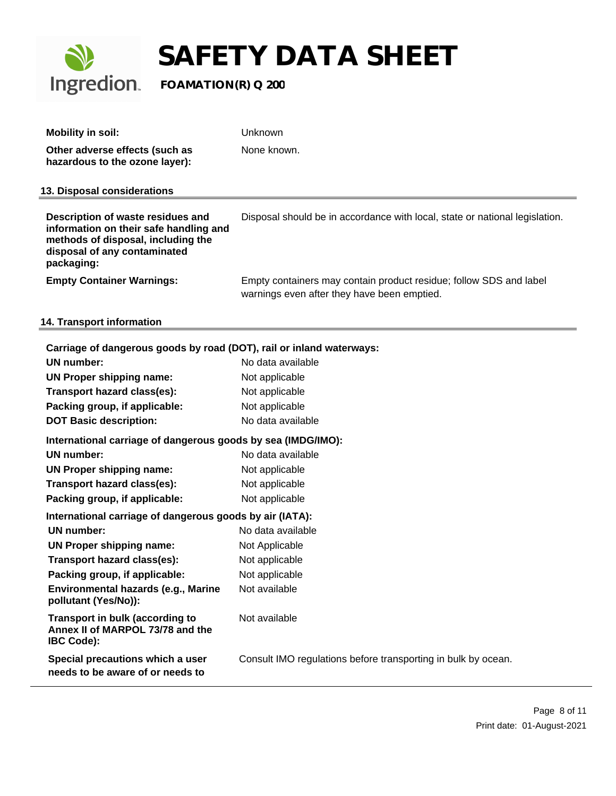

| <b>Mobility in soil:</b>                                                                                                                                        | Unknown                                                                                                           |
|-----------------------------------------------------------------------------------------------------------------------------------------------------------------|-------------------------------------------------------------------------------------------------------------------|
| Other adverse effects (such as<br>hazardous to the ozone layer):                                                                                                | None known.                                                                                                       |
| 13. Disposal considerations                                                                                                                                     |                                                                                                                   |
| Description of waste residues and<br>information on their safe handling and<br>methods of disposal, including the<br>disposal of any contaminated<br>packaging: | Disposal should be in accordance with local, state or national legislation.                                       |
| <b>Empty Container Warnings:</b>                                                                                                                                | Empty containers may contain product residue; follow SDS and label<br>warnings even after they have been emptied. |

## **14. Transport information**

| Carriage of dangerous goods by road (DOT), rail or inland waterways:                     |                                                               |  |  |
|------------------------------------------------------------------------------------------|---------------------------------------------------------------|--|--|
| UN number:                                                                               | No data available                                             |  |  |
| UN Proper shipping name:                                                                 | Not applicable                                                |  |  |
| Transport hazard class(es):                                                              | Not applicable                                                |  |  |
| Packing group, if applicable:                                                            | Not applicable                                                |  |  |
| <b>DOT Basic description:</b>                                                            | No data available                                             |  |  |
| International carriage of dangerous goods by sea (IMDG/IMO):                             |                                                               |  |  |
| <b>UN number:</b>                                                                        | No data available                                             |  |  |
| UN Proper shipping name:                                                                 | Not applicable                                                |  |  |
| Transport hazard class(es):                                                              | Not applicable                                                |  |  |
| Packing group, if applicable:                                                            | Not applicable                                                |  |  |
| International carriage of dangerous goods by air (IATA):                                 |                                                               |  |  |
| UN number:                                                                               | No data available                                             |  |  |
| UN Proper shipping name:                                                                 | Not Applicable                                                |  |  |
| Transport hazard class(es):                                                              | Not applicable                                                |  |  |
| Packing group, if applicable:                                                            | Not applicable                                                |  |  |
| Environmental hazards (e.g., Marine<br>pollutant (Yes/No)):                              | Not available                                                 |  |  |
| Transport in bulk (according to<br>Annex II of MARPOL 73/78 and the<br><b>IBC Code):</b> | Not available                                                 |  |  |
| Special precautions which a user<br>needs to be aware of or needs to                     | Consult IMO regulations before transporting in bulk by ocean. |  |  |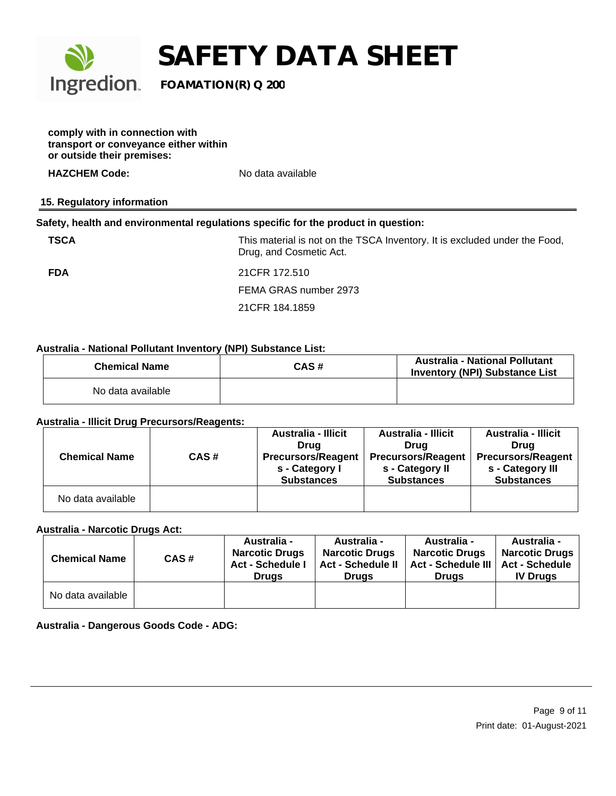

**comply with in connection with transport or conveyance either within or outside their premises:**

**HAZCHEM Code:** No data available

## **15. Regulatory information**

## **Safety, health and environmental regulations specific for the product in question:**

**TSCA** THIS material is not on the TSCA Inventory. It is excluded under the Food, Drug, and Cosmetic Act.

**FDA** 21CFR 172.510 FEMA GRAS number 2973 21CFR 184.1859

## **Australia - National Pollutant Inventory (NPI) Substance List:**

| <b>Chemical Name</b> | CAS# | Australia - National Pollutant<br><b>Inventory (NPI) Substance List</b> |
|----------------------|------|-------------------------------------------------------------------------|
| No data available    |      |                                                                         |

### **Australia - Illicit Drug Precursors/Reagents:**

|                      |      | Australia - Illicit       | <b>Australia - Illicit</b> | <b>Australia - Illicit</b> |
|----------------------|------|---------------------------|----------------------------|----------------------------|
|                      |      | Drua                      | Drua                       | Drua                       |
| <b>Chemical Name</b> | CAS# | <b>Precursors/Reagent</b> | <b>Precursors/Reagent</b>  | <b>Precursors/Reagent</b>  |
|                      |      | s - Category I            | s - Category II            | s - Category III           |
|                      |      | <b>Substances</b>         | <b>Substances</b>          | <b>Substances</b>          |
| No data available    |      |                           |                            |                            |

### **Australia - Narcotic Drugs Act:**

| <b>Chemical Name</b> | CAS# | Australia -<br><b>Narcotic Drugs</b><br><b>Act - Schedule I</b><br><b>Drugs</b> | <b>Australia -</b><br><b>Narcotic Drugs</b><br><b>Act - Schedule II</b><br><b>Drugs</b> | Australia -<br><b>Narcotic Drugs</b><br><b>Act - Schedule III</b><br><b>Drugs</b> | Australia -<br>Narcotic Drugs  <br><b>Act - Schedule</b><br><b>IV Drugs</b> |
|----------------------|------|---------------------------------------------------------------------------------|-----------------------------------------------------------------------------------------|-----------------------------------------------------------------------------------|-----------------------------------------------------------------------------|
| No data available    |      |                                                                                 |                                                                                         |                                                                                   |                                                                             |

**Australia - Dangerous Goods Code - ADG:**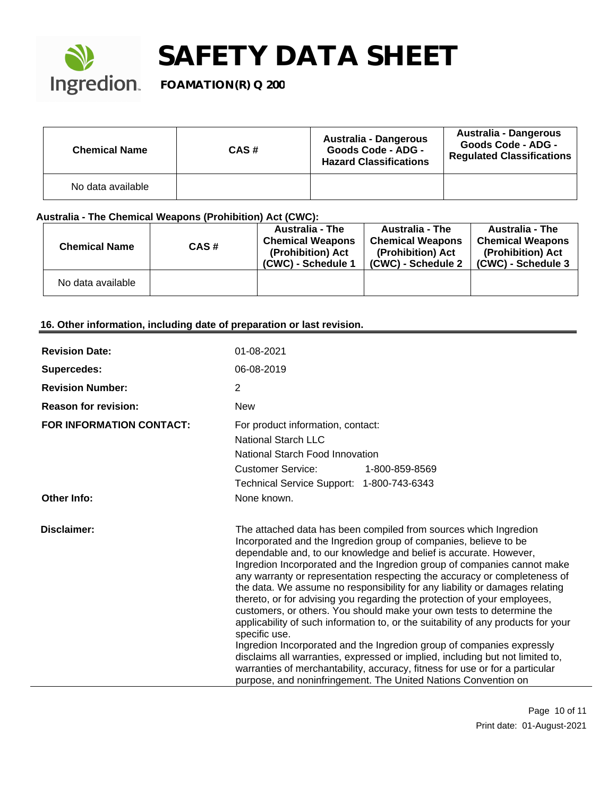

| <b>Chemical Name</b> | CAS# | Australia - Dangerous<br>Goods Code - ADG -<br><b>Hazard Classifications</b> | Australia - Dangerous<br><b>Goods Code - ADG -</b><br><b>Regulated Classifications</b> |
|----------------------|------|------------------------------------------------------------------------------|----------------------------------------------------------------------------------------|
| No data available    |      |                                                                              |                                                                                        |

## **Australia - The Chemical Weapons (Prohibition) Act (CWC):**

| <b>Chemical Name</b> | CAS# | <b>Australia - The</b><br><b>Chemical Weapons</b><br>(Prohibition) Act<br>(CWC) - Schedule 1 | <b>Australia - The</b><br><b>Chemical Weapons</b><br>(Prohibition) Act<br>(CWC) - Schedule 2 | <b>Australia - The</b><br><b>Chemical Weapons</b><br>(Prohibition) Act<br>(CWC) - Schedule 3 |
|----------------------|------|----------------------------------------------------------------------------------------------|----------------------------------------------------------------------------------------------|----------------------------------------------------------------------------------------------|
| No data available    |      |                                                                                              |                                                                                              |                                                                                              |

## **16. Other information, including date of preparation or last revision.**

| <b>Revision Date:</b>           | 01-08-2021                                                                                                                                                                                                                                                                                                                                                                                                                                                                                                                                                                                                                                                                                                                                                                                                                                                                                                                                                                                                              |
|---------------------------------|-------------------------------------------------------------------------------------------------------------------------------------------------------------------------------------------------------------------------------------------------------------------------------------------------------------------------------------------------------------------------------------------------------------------------------------------------------------------------------------------------------------------------------------------------------------------------------------------------------------------------------------------------------------------------------------------------------------------------------------------------------------------------------------------------------------------------------------------------------------------------------------------------------------------------------------------------------------------------------------------------------------------------|
| Supercedes:                     | 06-08-2019                                                                                                                                                                                                                                                                                                                                                                                                                                                                                                                                                                                                                                                                                                                                                                                                                                                                                                                                                                                                              |
| <b>Revision Number:</b>         | 2                                                                                                                                                                                                                                                                                                                                                                                                                                                                                                                                                                                                                                                                                                                                                                                                                                                                                                                                                                                                                       |
| <b>Reason for revision:</b>     | <b>New</b>                                                                                                                                                                                                                                                                                                                                                                                                                                                                                                                                                                                                                                                                                                                                                                                                                                                                                                                                                                                                              |
| <b>FOR INFORMATION CONTACT:</b> | For product information, contact:<br>National Starch LLC<br>National Starch Food Innovation<br><b>Customer Service:</b><br>1-800-859-8569<br>Technical Service Support: 1-800-743-6343                                                                                                                                                                                                                                                                                                                                                                                                                                                                                                                                                                                                                                                                                                                                                                                                                                  |
| Other Info:                     | None known.                                                                                                                                                                                                                                                                                                                                                                                                                                                                                                                                                                                                                                                                                                                                                                                                                                                                                                                                                                                                             |
| Disclaimer:                     | The attached data has been compiled from sources which Ingredion<br>Incorporated and the Ingredion group of companies, believe to be<br>dependable and, to our knowledge and belief is accurate. However,<br>Ingredion Incorporated and the Ingredion group of companies cannot make<br>any warranty or representation respecting the accuracy or completeness of<br>the data. We assume no responsibility for any liability or damages relating<br>thereto, or for advising you regarding the protection of your employees,<br>customers, or others. You should make your own tests to determine the<br>applicability of such information to, or the suitability of any products for your<br>specific use.<br>Ingredion Incorporated and the Ingredion group of companies expressly<br>disclaims all warranties, expressed or implied, including but not limited to,<br>warranties of merchantability, accuracy, fitness for use or for a particular<br>purpose, and noninfringement. The United Nations Convention on |